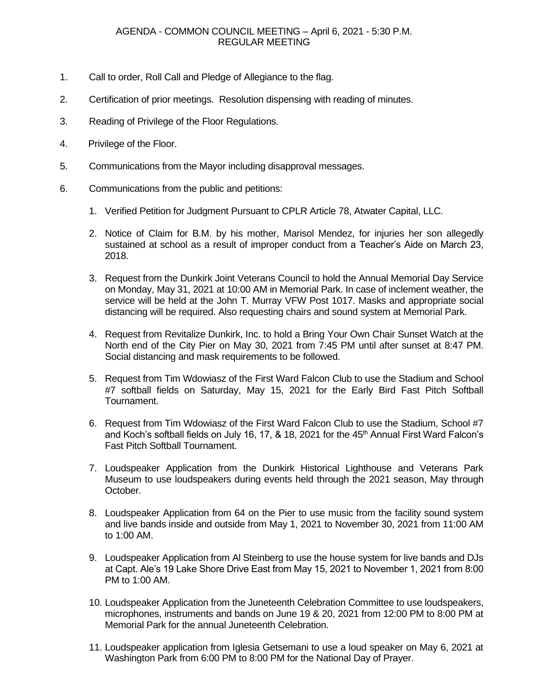## AGENDA - COMMON COUNCIL MEETING – April 6, 2021 - 5:30 P.M. REGULAR MEETING

- 1. Call to order, Roll Call and Pledge of Allegiance to the flag.
- 2. Certification of prior meetings. Resolution dispensing with reading of minutes.
- 3. Reading of Privilege of the Floor Regulations.
- 4. Privilege of the Floor.
- 5. Communications from the Mayor including disapproval messages.
- 6. Communications from the public and petitions:
	- 1. Verified Petition for Judgment Pursuant to CPLR Article 78, Atwater Capital, LLC.
	- 2. Notice of Claim for B.M. by his mother, Marisol Mendez, for injuries her son allegedly sustained at school as a result of improper conduct from a Teacher's Aide on March 23, 2018.
	- 3. Request from the Dunkirk Joint Veterans Council to hold the Annual Memorial Day Service on Monday, May 31, 2021 at 10:00 AM in Memorial Park. In case of inclement weather, the service will be held at the John T. Murray VFW Post 1017. Masks and appropriate social distancing will be required. Also requesting chairs and sound system at Memorial Park.
	- 4. Request from Revitalize Dunkirk, Inc. to hold a Bring Your Own Chair Sunset Watch at the North end of the City Pier on May 30, 2021 from 7:45 PM until after sunset at 8:47 PM. Social distancing and mask requirements to be followed.
	- 5. Request from Tim Wdowiasz of the First Ward Falcon Club to use the Stadium and School #7 softball fields on Saturday, May 15, 2021 for the Early Bird Fast Pitch Softball Tournament.
	- 6. Request from Tim Wdowiasz of the First Ward Falcon Club to use the Stadium, School #7 and Koch's softball fields on July 16, 17,  $\&$  18, 2021 for the 45<sup>th</sup> Annual First Ward Falcon's Fast Pitch Softball Tournament.
	- 7. Loudspeaker Application from the Dunkirk Historical Lighthouse and Veterans Park Museum to use loudspeakers during events held through the 2021 season, May through October.
	- 8. Loudspeaker Application from 64 on the Pier to use music from the facility sound system and live bands inside and outside from May 1, 2021 to November 30, 2021 from 11:00 AM to 1:00 AM.
	- 9. Loudspeaker Application from Al Steinberg to use the house system for live bands and DJs at Capt. Ale's 19 Lake Shore Drive East from May 15, 2021 to November 1, 2021 from 8:00 PM to 1:00 AM.
	- 10. Loudspeaker Application from the Juneteenth Celebration Committee to use loudspeakers, microphones, instruments and bands on June 19 & 20, 2021 from 12:00 PM to 8:00 PM at Memorial Park for the annual Juneteenth Celebration.
	- 11. Loudspeaker application from Iglesia Getsemani to use a loud speaker on May 6, 2021 at Washington Park from 6:00 PM to 8:00 PM for the National Day of Prayer.